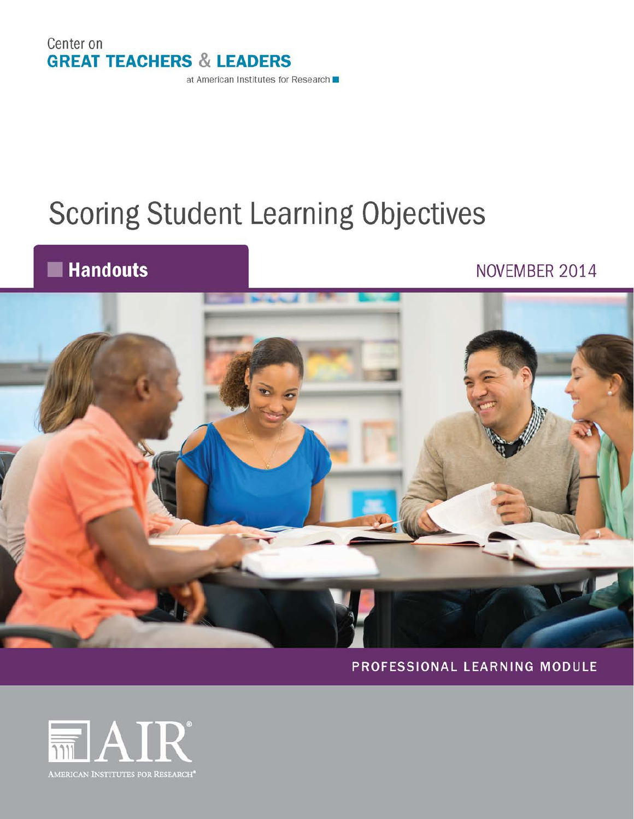

# **Scoring Student Learning Objectives**

## **Handouts**

## NOVEMBER 2014



PROFESSIONAL LEARNING MODULE

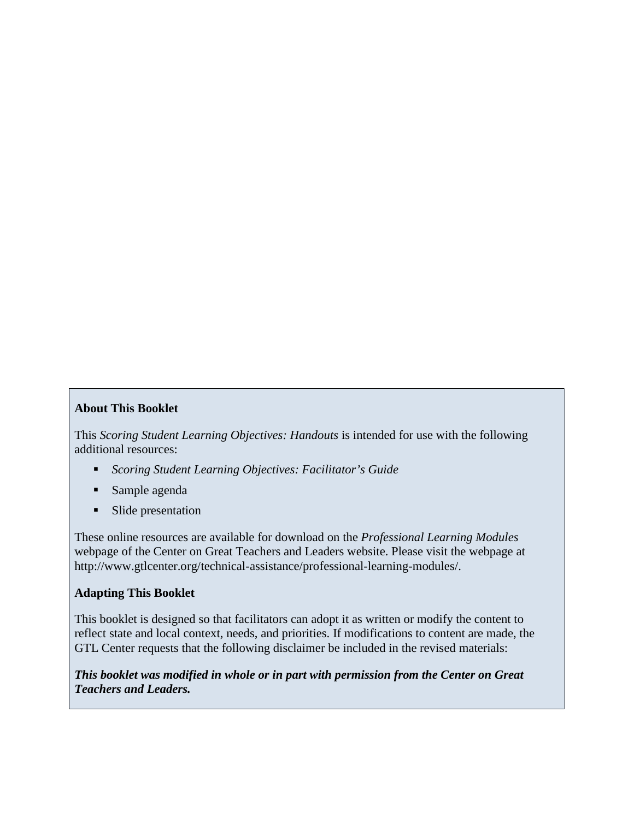#### **About This Booklet**

This *Scoring Student Learning Objectives: Handouts* is intended for use with the following additional resources:

- *Scoring Student Learning Objectives: Facilitator's Guide*
- Sample agenda
- Slide presentation

These online resources are available for download on the *Professional Learning Modules* webpage of the Center on Great Teachers and Leaders website. Please visit the webpage at http://www.gtlcenter.org/technical-assistance/professional-learning-modules/.

#### **Adapting This Booklet**

This booklet is designed so that facilitators can adopt it as written or modify the content to reflect state and local context, needs, and priorities. If modifications to content are made, the GTL Center requests that the following disclaimer be included in the revised materials:

*This booklet was modified in whole or in part with permission from the Center on Great Teachers and Leaders.*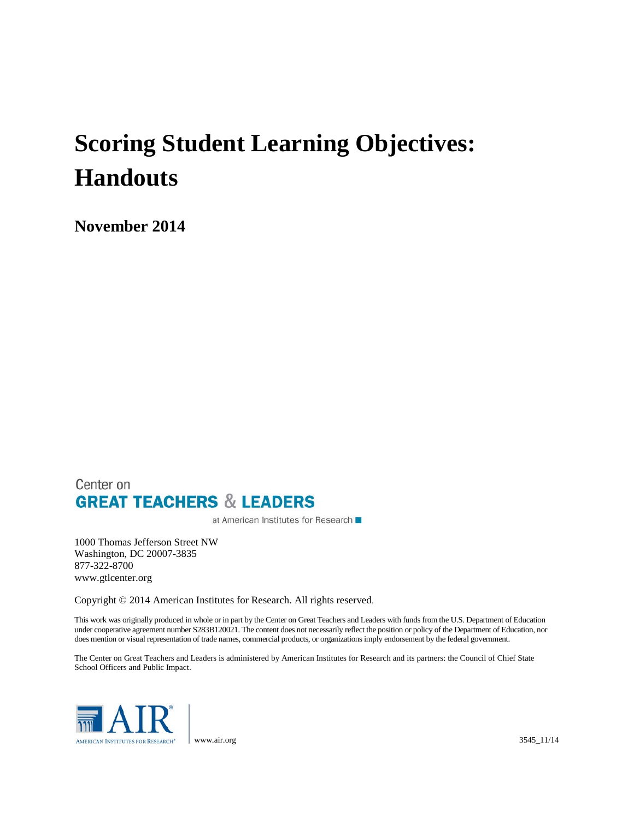## **Scoring Student Learning Objectives: Handouts**

**November 2014**

### Center on **GREAT TEACHERS & LEADERS**

at American Institutes for Research ■

1000 Thomas Jefferson Street NW Washington, DC 20007-3835 877-322-8700 www.gtlcenter.org

Copyright © 2014 American Institutes for Research. All rights reserved.

This work was originally produced in whole or in part by the Center on Great Teachers and Leaders with funds from the U.S. Department of Education under cooperative agreement number S283B120021. The content does not necessarily reflect the position or policy of the Department of Education, nor does mention or visual representation of trade names, commercial products, or organizations imply endorsement by the federal government.

The Center on Great Teachers and Leaders is administered by American Institutes for Research and its partners: the Council of Chief State School Officers and Public Impact.

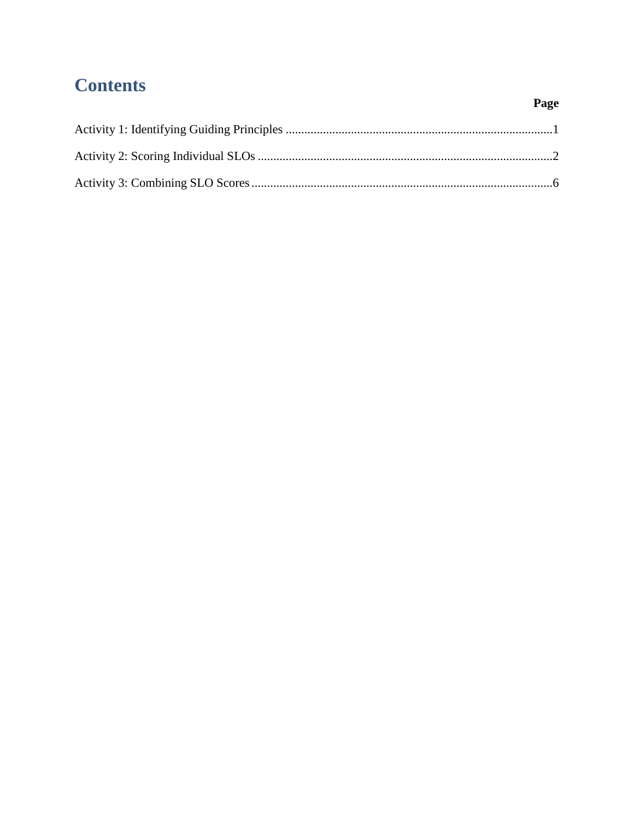## **Contents**

### Page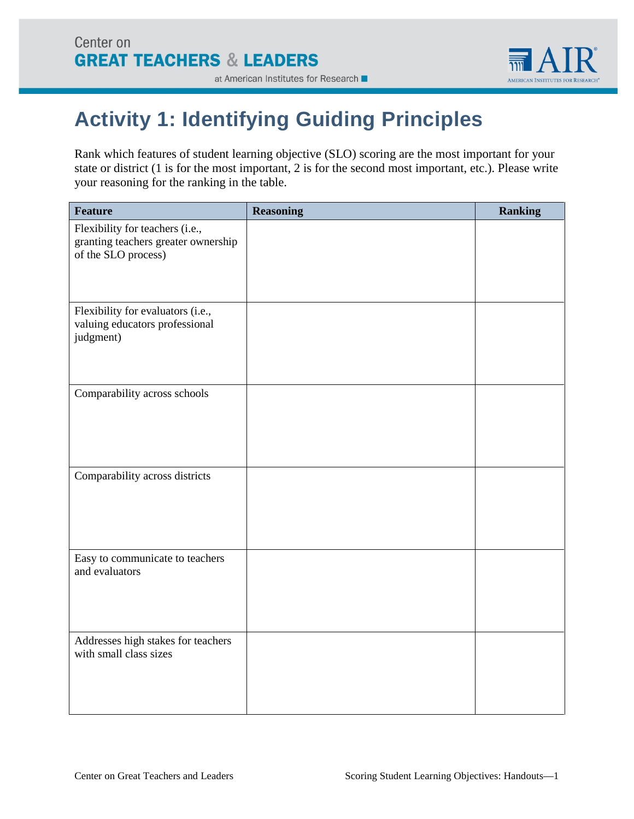

## <span id="page-6-0"></span>**Activity 1: Identifying Guiding Principles**

Rank which features of student learning objective (SLO) scoring are the most important for your state or district (1 is for the most important, 2 is for the second most important, etc.). Please write your reasoning for the ranking in the table.

| <b>Feature</b>                                                                                | <b>Reasoning</b> | <b>Ranking</b> |
|-----------------------------------------------------------------------------------------------|------------------|----------------|
| Flexibility for teachers (i.e.,<br>granting teachers greater ownership<br>of the SLO process) |                  |                |
| Flexibility for evaluators (i.e.,<br>valuing educators professional<br>judgment)              |                  |                |
| Comparability across schools                                                                  |                  |                |
| Comparability across districts                                                                |                  |                |
| Easy to communicate to teachers<br>and evaluators                                             |                  |                |
| Addresses high stakes for teachers<br>with small class sizes                                  |                  |                |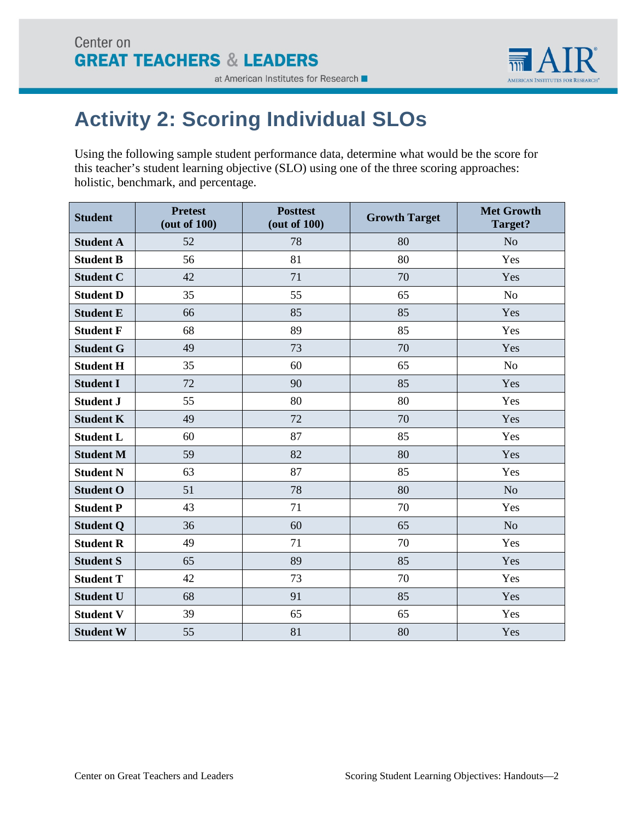

## <span id="page-7-0"></span>**Activity 2: Scoring Individual SLOs**

Using the following sample student performance data, determine what would be the score for this teacher's student learning objective (SLO) using one of the three scoring approaches: holistic, benchmark, and percentage.

| <b>Student</b>   | <b>Pretest</b><br>(out of 100) | <b>Posttest</b><br>(out of 100) | <b>Growth Target</b> | <b>Met Growth</b><br>Target? |
|------------------|--------------------------------|---------------------------------|----------------------|------------------------------|
| <b>Student A</b> | 52                             | 78                              | 80                   | N <sub>o</sub>               |
| <b>Student B</b> | 56                             | 81                              | 80                   | Yes                          |
| <b>Student C</b> | 42                             | 71                              | 70                   | Yes                          |
| <b>Student D</b> | 35                             | 55                              | 65                   | No                           |
| <b>Student E</b> | 66                             | 85                              | 85                   | Yes                          |
| <b>Student F</b> | 68                             | 89                              | 85                   | Yes                          |
| <b>Student G</b> | 49                             | 73                              | 70                   | Yes                          |
| <b>Student H</b> | 35                             | 60                              | 65                   | No                           |
| <b>Student I</b> | 72                             | 90                              | 85                   | Yes                          |
| <b>Student J</b> | 55                             | 80                              | 80                   | Yes                          |
| <b>Student K</b> | 49                             | 72                              | 70                   | Yes                          |
| <b>Student L</b> | 60                             | 87                              | 85                   | Yes                          |
| <b>Student M</b> | 59                             | 82                              | 80                   | Yes                          |
| <b>Student N</b> | 63                             | 87                              | 85                   | Yes                          |
| <b>Student O</b> | 51                             | 78                              | 80                   | No                           |
| <b>Student P</b> | 43                             | 71                              | 70                   | Yes                          |
| <b>Student Q</b> | 36                             | 60                              | 65                   | N <sub>o</sub>               |
| <b>Student R</b> | 49                             | 71                              | 70                   | Yes                          |
| <b>Student S</b> | 65                             | 89                              | 85                   | Yes                          |
| <b>Student T</b> | 42                             | 73                              | 70                   | Yes                          |
| <b>Student U</b> | 68                             | 91                              | 85                   | Yes                          |
| <b>Student V</b> | 39                             | 65                              | 65                   | Yes                          |
| <b>Student W</b> | 55                             | 81                              | 80                   | Yes                          |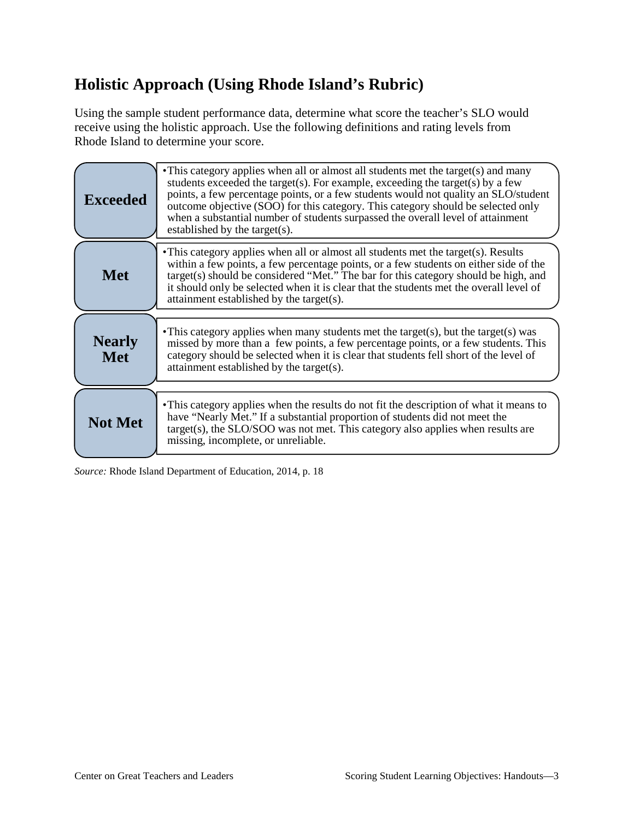## **Holistic Approach (Using Rhode Island's Rubric)**

Using the sample student performance data, determine what score the teacher's SLO would receive using the holistic approach. Use the following definitions and rating levels from Rhode Island to determine your score.

| <b>Exceeded</b>             | • This category applies when all or almost all students met the target(s) and many<br>students exceeded the target(s). For example, exceeding the target(s) by a few<br>points, a few percentage points, or a few students would not quality an SLO/student<br>outcome objective (SOO) for this category. This category should be selected only<br>when a substantial number of students surpassed the overall level of attainment<br>established by the target(s). |
|-----------------------------|---------------------------------------------------------------------------------------------------------------------------------------------------------------------------------------------------------------------------------------------------------------------------------------------------------------------------------------------------------------------------------------------------------------------------------------------------------------------|
| <b>Met</b>                  | • This category applies when all or almost all students met the target(s). Results<br>within a few points, a few percentage points, or a few students on either side of the<br>target(s) should be considered "Met." The bar for this category should be high, and<br>it should only be selected when it is clear that the students met the overall level of<br>attainment established by the target(s).                                                            |
| <b>Nearly</b><br><b>Met</b> | • This category applies when many students met the target(s), but the target(s) was<br>missed by more than a few points, a few percentage points, or a few students. This<br>category should be selected when it is clear that students fell short of the level of<br>attainment established by the target(s).                                                                                                                                                      |
| <b>Not Met</b>              | • This category applies when the results do not fit the description of what it means to<br>have "Nearly Met." If a substantial proportion of students did not meet the<br>$target(s)$ , the $SLO/SOO$ was not met. This category also applies when results are<br>missing, incomplete, or unreliable.                                                                                                                                                               |

*Source:* Rhode Island Department of Education, 2014, p. 18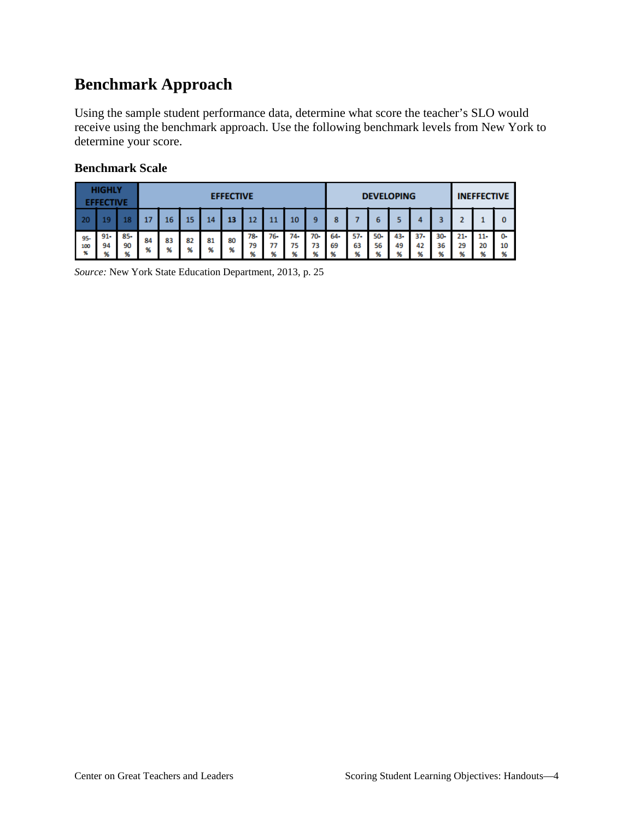## **Benchmark Approach**

Using the sample student performance data, determine what score the teacher's SLO would receive using the benchmark approach. Use the following benchmark levels from New York to determine your score.

|                 | <b>HIGHLY</b><br><b>FFECTIVE</b> |                | <b>EFFECTIVE</b> |         |         |         | <b>DEVELOPING</b> |                |                |                |                | <b>INEFFECTIVE</b> |                |                       |                 |                   |                   |                          |                   |               |
|-----------------|----------------------------------|----------------|------------------|---------|---------|---------|-------------------|----------------|----------------|----------------|----------------|--------------------|----------------|-----------------------|-----------------|-------------------|-------------------|--------------------------|-------------------|---------------|
| - 20            |                                  | 8              | 17               | 16      | 15      | 14      | 13                | 12             |                | 10             | 9              | 8                  |                |                       |                 |                   |                   |                          |                   | 0             |
| 95-<br>100<br>% | $91 -$<br>94<br>%                | 85-<br>90<br>% | 84<br>%          | 83<br>% | 82<br>% | 81<br>% | 80<br>%           | 78-<br>79<br>% | 76-<br>77<br>% | 74-<br>75<br>ω | 70-<br>73<br>% | 64-<br>69<br>96    | 57-<br>63<br>% | 50-<br>56<br>۵z<br>70 | 43-<br>49<br>96 | $37 -$<br>42<br>% | $30 -$<br>36<br>% | $21 -$<br>29<br>$\alpha$ | $11 -$<br>20<br>% | 0-<br>10<br>% |

### **Benchmark Scale**

*Source:* New York State Education Department, 2013, p. 25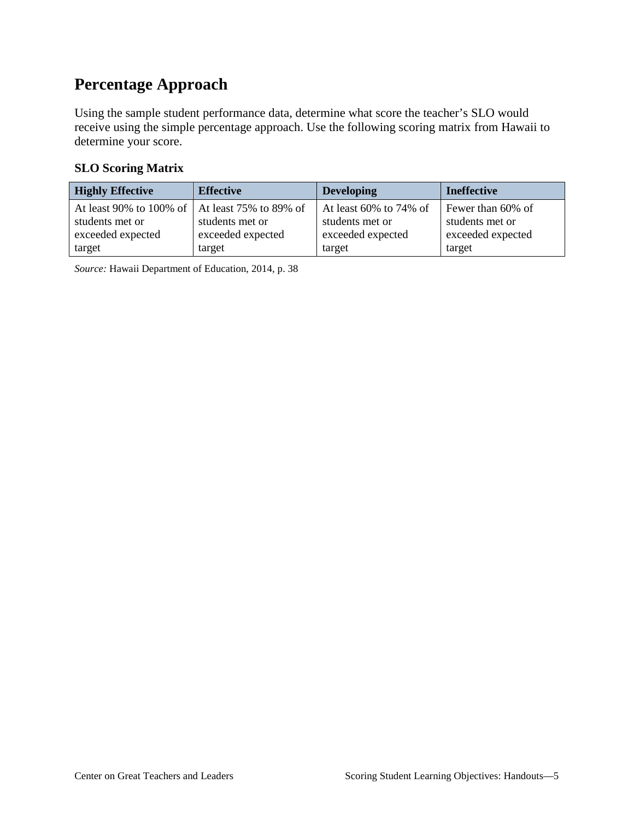## **Percentage Approach**

Using the sample student performance data, determine what score the teacher's SLO would receive using the simple percentage approach. Use the following scoring matrix from Hawaii to determine your score.

### **SLO Scoring Matrix**

| <b>Highly Effective</b>                          | <b>Effective</b>  | <b>Developing</b>         | <b>Ineffective</b> |
|--------------------------------------------------|-------------------|---------------------------|--------------------|
| At least 90% to 100% of   At least 75% to 89% of |                   | At least $60\%$ to 74% of | Fewer than 60% of  |
| students met or                                  | students met or   | students met or           | students met or    |
| exceeded expected                                | exceeded expected | exceeded expected         | exceeded expected  |
| target                                           | target            | target                    | target             |

*Source:* Hawaii Department of Education, 2014, p. 38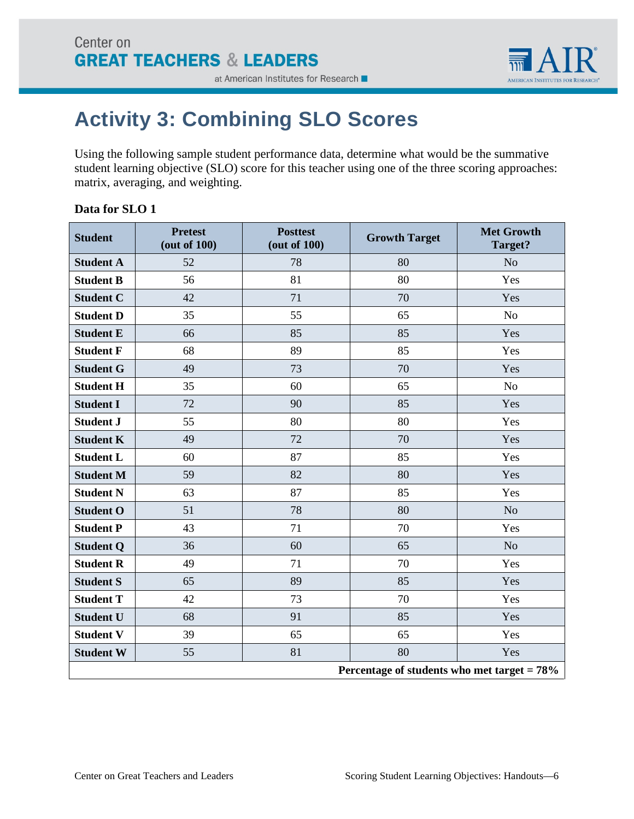

## <span id="page-11-0"></span>**Activity 3: Combining SLO Scores**

Using the following sample student performance data, determine what would be the summative student learning objective (SLO) score for this teacher using one of the three scoring approaches: matrix, averaging, and weighting.

### **Data for SLO 1**

| <b>Student</b>   | <b>Pretest</b><br>(out of 100)                 | <b>Posttest</b><br>(out of 100) | <b>Growth Target</b> | <b>Met Growth</b><br>Target? |  |  |  |
|------------------|------------------------------------------------|---------------------------------|----------------------|------------------------------|--|--|--|
| <b>Student A</b> | 52                                             | 78                              | 80                   | N <sub>o</sub>               |  |  |  |
| <b>Student B</b> | 56                                             | 81                              | 80                   | Yes                          |  |  |  |
| <b>Student C</b> | 42                                             | 71                              | 70                   | Yes                          |  |  |  |
| <b>Student D</b> | 35                                             | 55                              | 65                   | N <sub>o</sub>               |  |  |  |
| <b>Student E</b> | 66                                             | 85                              | 85                   | Yes                          |  |  |  |
| <b>Student F</b> | 68                                             | 89                              | 85                   | Yes                          |  |  |  |
| <b>Student G</b> | 49                                             | 73                              | 70                   | Yes                          |  |  |  |
| <b>Student H</b> | 35                                             | 60                              | 65                   | N <sub>o</sub>               |  |  |  |
| <b>Student I</b> | 72                                             | 90                              | 85                   | Yes                          |  |  |  |
| <b>Student J</b> | 55                                             | 80                              | 80                   | Yes                          |  |  |  |
| <b>Student K</b> | 49                                             | 72                              | 70                   | Yes                          |  |  |  |
| <b>Student L</b> | 60                                             | 87                              | 85                   | Yes                          |  |  |  |
| <b>Student M</b> | 59                                             | 82                              | 80                   | Yes                          |  |  |  |
| <b>Student N</b> | 63                                             | 87                              | 85                   | Yes                          |  |  |  |
| <b>Student O</b> | 51                                             | 78                              | 80                   | N <sub>o</sub>               |  |  |  |
| <b>Student P</b> | 43                                             | 71                              | 70                   | Yes                          |  |  |  |
| <b>Student Q</b> | 36                                             | 60                              | 65                   | N <sub>o</sub>               |  |  |  |
| <b>Student R</b> | 49                                             | 71                              | 70                   | Yes                          |  |  |  |
| <b>Student S</b> | 65                                             | 89                              | 85                   | Yes                          |  |  |  |
| <b>Student T</b> | 42                                             | 73                              | 70                   | Yes                          |  |  |  |
| <b>Student U</b> | 68                                             | 91                              | 85                   | Yes                          |  |  |  |
| <b>Student V</b> | 39                                             | 65                              | 65                   | Yes                          |  |  |  |
| <b>Student W</b> | 55                                             | 81                              | 80                   | Yes                          |  |  |  |
|                  | Percentage of students who met target $= 78\%$ |                                 |                      |                              |  |  |  |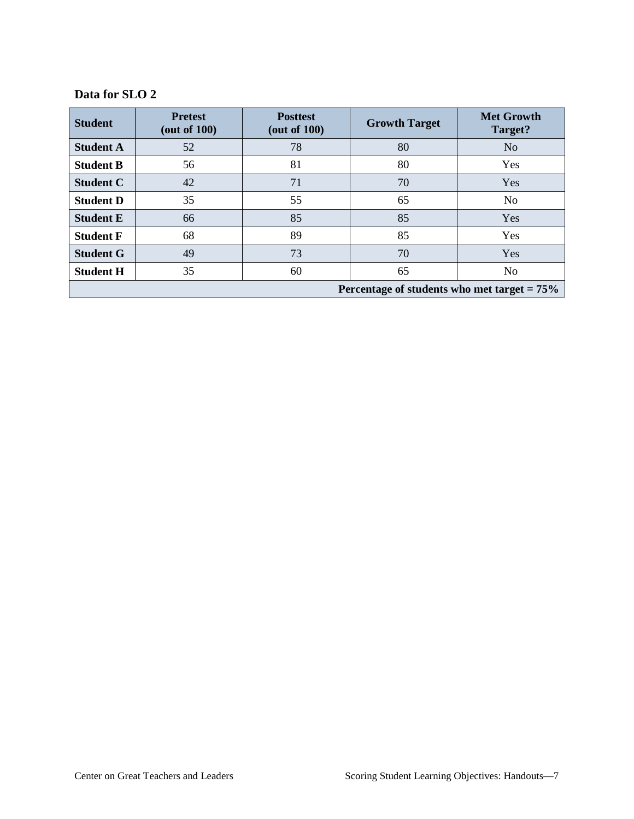### **Data for SLO 2**

| <b>Student</b>                                 | <b>Pretest</b><br>$($ out of 100 $)$ | <b>Posttest</b><br>(out of 100) | <b>Growth Target</b> | <b>Met Growth</b><br>Target? |  |  |
|------------------------------------------------|--------------------------------------|---------------------------------|----------------------|------------------------------|--|--|
| <b>Student A</b>                               | 52                                   | 78                              | 80                   | N <sub>o</sub>               |  |  |
| <b>Student B</b>                               | 56                                   | 81                              | 80                   | Yes                          |  |  |
| <b>Student C</b>                               | 42                                   | 71                              | 70                   | Yes                          |  |  |
| <b>Student D</b>                               | 35                                   | 55                              | 65                   | N <sub>o</sub>               |  |  |
| <b>Student E</b>                               | 66                                   | 85                              | 85                   | Yes                          |  |  |
| <b>Student F</b>                               | 68                                   | 89                              | 85                   | Yes                          |  |  |
| <b>Student G</b>                               | 49                                   | 73                              | 70                   | Yes                          |  |  |
| <b>Student H</b>                               | 35                                   | 60                              | 65                   | N <sub>o</sub>               |  |  |
| Percentage of students who met target $= 75\%$ |                                      |                                 |                      |                              |  |  |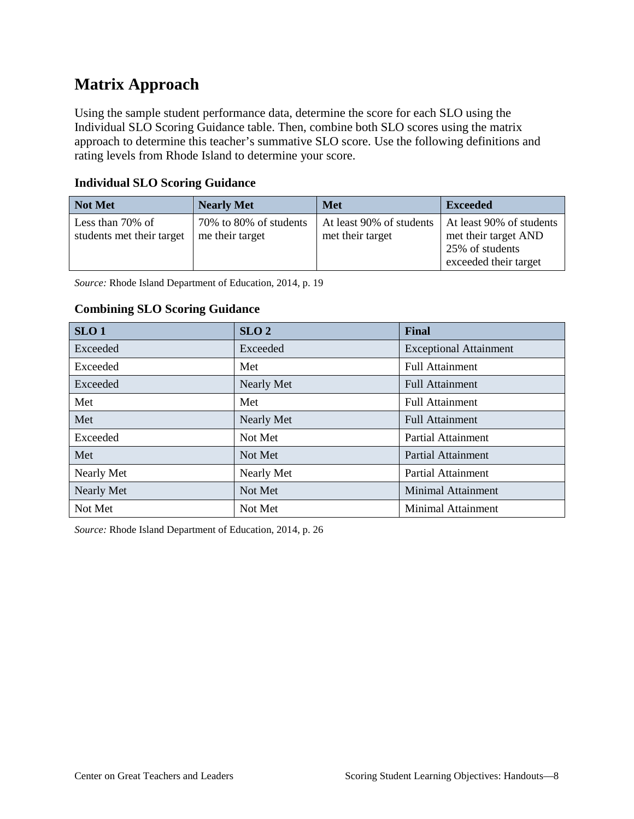### **Matrix Approach**

Using the sample student performance data, determine the score for each SLO using the Individual SLO Scoring Guidance table. Then, combine both SLO scores using the matrix approach to determine this teacher's summative SLO score. Use the following definitions and rating levels from Rhode Island to determine your score.

| <b>Not Met</b>                                | <b>Nearly Met</b>                         | <b>Met</b>                                   | <b>Exceeded</b>                                                                              |
|-----------------------------------------------|-------------------------------------------|----------------------------------------------|----------------------------------------------------------------------------------------------|
| Less than 70% of<br>students met their target | 70% to 80% of students<br>me their target | At least 90% of students<br>met their target | At least 90% of students<br>met their target AND<br>25% of students<br>exceeded their target |

### **Individual SLO Scoring Guidance**

*Source:* Rhode Island Department of Education, 2014, p. 19

### **Combining SLO Scoring Guidance**

| SLO <sub>1</sub>  | SLO <sub>2</sub>  | <b>Final</b>                  |  |
|-------------------|-------------------|-------------------------------|--|
| Exceeded          | Exceeded          | <b>Exceptional Attainment</b> |  |
| Exceeded          | Met               | <b>Full Attainment</b>        |  |
| Exceeded          | <b>Nearly Met</b> | <b>Full Attainment</b>        |  |
| Met               | Met               | <b>Full Attainment</b>        |  |
| Met               | <b>Nearly Met</b> | <b>Full Attainment</b>        |  |
| Exceeded          | Not Met           | <b>Partial Attainment</b>     |  |
| Met               | Not Met           | <b>Partial Attainment</b>     |  |
| Nearly Met        | Nearly Met        | <b>Partial Attainment</b>     |  |
| <b>Nearly Met</b> | Not Met           | <b>Minimal Attainment</b>     |  |
| Not Met           | Not Met           | <b>Minimal Attainment</b>     |  |

*Source:* Rhode Island Department of Education, 2014, p. 26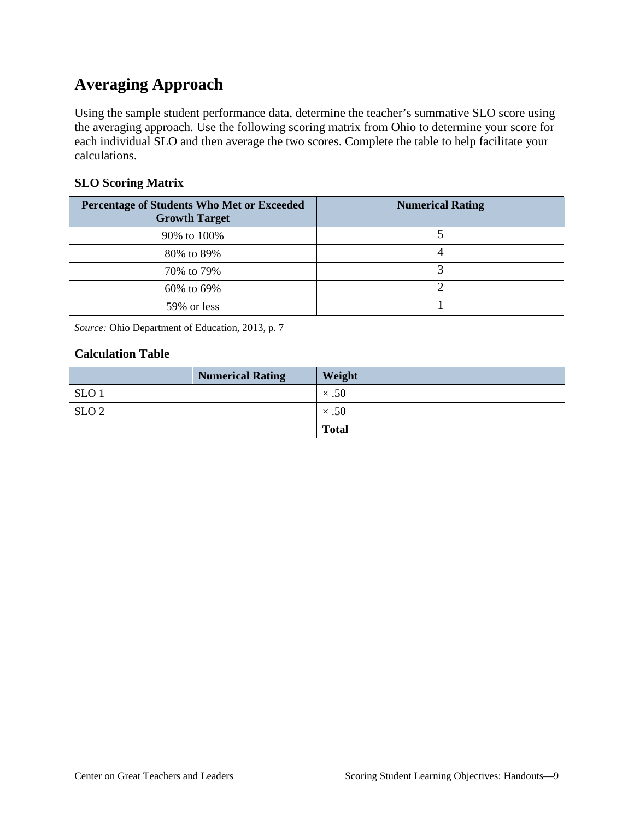## **Averaging Approach**

Using the sample student performance data, determine the teacher's summative SLO score using the averaging approach. Use the following scoring matrix from Ohio to determine your score for each individual SLO and then average the two scores. Complete the table to help facilitate your calculations.

### **SLO Scoring Matrix**

| <b>Percentage of Students Who Met or Exceeded</b><br><b>Growth Target</b> | <b>Numerical Rating</b> |
|---------------------------------------------------------------------------|-------------------------|
| 90% to 100%                                                               |                         |
| 80% to 89%                                                                |                         |
| 70% to 79%                                                                |                         |
| 60% to 69%                                                                |                         |
| 59% or less                                                               |                         |

*Source:* Ohio Department of Education, 2013, p. 7

### **Calculation Table**

|                  | <b>Numerical Rating</b> | Weight       |  |
|------------------|-------------------------|--------------|--|
| SLO <sub>1</sub> |                         | $\times .50$ |  |
| SLO <sub>2</sub> |                         | $\times .50$ |  |
|                  |                         | <b>Total</b> |  |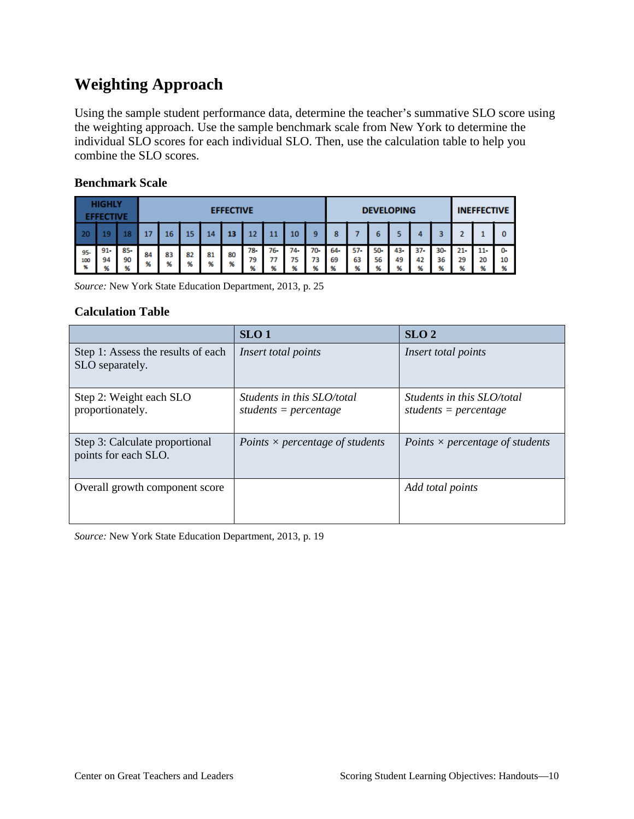### **Weighting Approach**

Using the sample student performance data, determine the teacher's summative SLO score using the weighting approach. Use the sample benchmark scale from New York to determine the individual SLO scores for each individual SLO. Then, use the calculation table to help you combine the SLO scores.

| <b>HIGHLY</b><br><b>EFFECTIVE</b> |                     |                | <b>EFFECTIVE</b> |         |         |         |         |                |                       |                | <b>DEVELOPING</b> |                |                |                |                 | <b>INEFFECTIVE</b> |                |                          |                  |               |
|-----------------------------------|---------------------|----------------|------------------|---------|---------|---------|---------|----------------|-----------------------|----------------|-------------------|----------------|----------------|----------------|-----------------|--------------------|----------------|--------------------------|------------------|---------------|
| 20                                |                     | 18             |                  | 16      | 15      | 14      | 13      | 12             |                       | 10             | 9                 | 8              |                |                |                 |                    |                |                          |                  | 0             |
| 95-<br>100<br>96                  | $91 - 1$<br>94<br>% | 85-<br>90<br>% | 84<br>96         | 83<br>% | 82<br>% | 81<br>% | 80<br>% | 78-<br>79<br>% | 76-<br>77<br>$\alpha$ | 74-<br>75<br>% | 70-<br>73<br>96   | 64-<br>69<br>% | 57-<br>63<br>% | 50-<br>56<br>M | 43-<br>49<br>96 | $37 -$<br>42<br>%  | 30-<br>36<br>% | $21 -$<br>29<br>$\alpha$ | $11-$<br>20<br>% | 0-<br>10<br>% |

#### **Benchmark Scale**

*Source:* New York State Education Department, 2013, p. 25

### **Calculation Table**

|                                                        | SLO <sub>1</sub>                                             | SLO <sub>2</sub>                                             |
|--------------------------------------------------------|--------------------------------------------------------------|--------------------------------------------------------------|
| Step 1: Assess the results of each<br>SLO separately.  | Insert total points                                          | Insert total points                                          |
| Step 2: Weight each SLO<br>proportionately.            | <i>Students in this SLO/total</i><br>students = $percentage$ | <i>Students in this SLO/total</i><br>students = $percentage$ |
| Step 3: Calculate proportional<br>points for each SLO. | Points $\times$ percentage of students                       | Points $\times$ percentage of students                       |
| Overall growth component score                         |                                                              | Add total points                                             |

*Source:* New York State Education Department, 2013, p. 19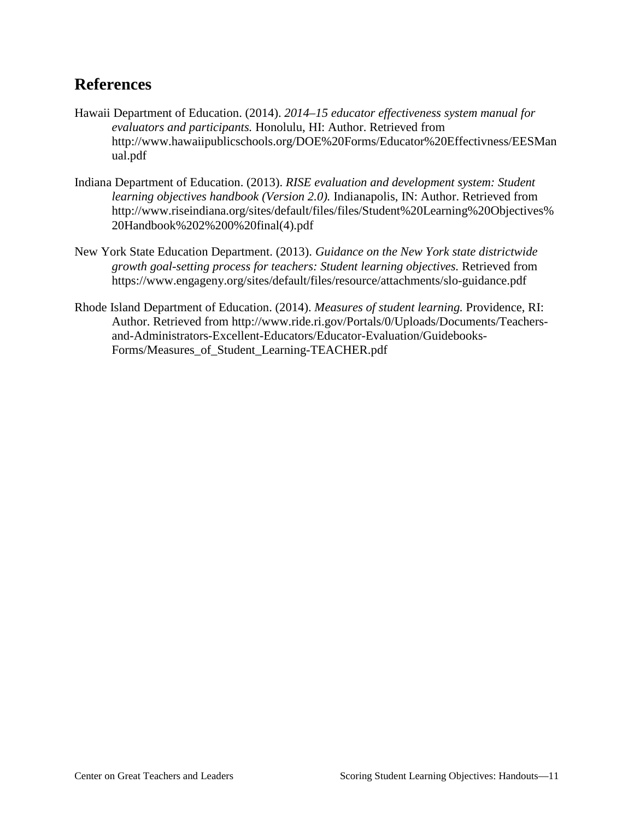### **References**

- Hawaii Department of Education. (2014). *2014–15 educator effectiveness system manual for evaluators and participants.* Honolulu, HI: Author. Retrieved from http://www.hawaiipublicschools.org/DOE%20Forms/Educator%20Effectivness/EESMan ual.pdf
- Indiana Department of Education. (2013). *RISE evaluation and development system: Student learning objectives handbook (Version 2.0).* Indianapolis, IN: Author. Retrieved from http://www.riseindiana.org/sites/default/files/files/Student%20Learning%20Objectives% 20Handbook%202%200%20final(4).pdf
- New York State Education Department. (2013). *Guidance on the New York state districtwide growth goal-setting process for teachers: Student learning objectives.* Retrieved from https://www.engageny.org/sites/default/files/resource/attachments/slo-guidance.pdf
- Rhode Island Department of Education. (2014). *Measures of student learning.* Providence, RI: Author. Retrieved from http://www.ride.ri.gov/Portals/0/Uploads/Documents/Teachersand-Administrators-Excellent-Educators/Educator-Evaluation/Guidebooks-Forms/Measures\_of\_Student\_Learning-TEACHER.pdf